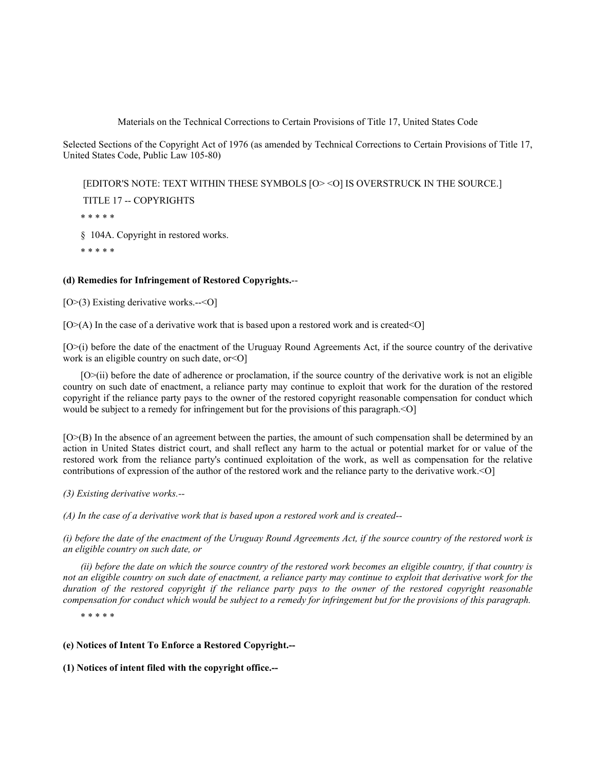Materials on the Technical Corrections to Certain Provisions of Title 17, United States Code

Selected Sections of the Copyright Act of 1976 (as amended by Technical Corrections to Certain Provisions of Title 17, United States Code, Public Law 105-80)

 [EDITOR'S NOTE: TEXT WITHIN THESE SYMBOLS [O> <O] IS OVERSTRUCK IN THE SOURCE.] TITLE 17 -- COPYRIGHTS

\* \* \* \* \*

§ 104A. Copyright in restored works.

\* \* \* \* \*

# **(d) Remedies for Infringement of Restored Copyrights.**--

[O>(3) Existing derivative works.--<O]

 $[O>(A)]$  In the case of a derivative work that is based upon a restored work and is created  $\leq O$ 

[O>(i) before the date of the enactment of the Uruguay Round Agreements Act, if the source country of the derivative work is an eligible country on such date, or  $\leq$  O]

[O>(ii) before the date of adherence or proclamation, if the source country of the derivative work is not an eligible country on such date of enactment, a reliance party may continue to exploit that work for the duration of the restored copyright if the reliance party pays to the owner of the restored copyright reasonable compensation for conduct which would be subject to a remedy for infringement but for the provisions of this paragraph.<O]

[O>(B) In the absence of an agreement between the parties, the amount of such compensation shall be determined by an action in United States district court, and shall reflect any harm to the actual or potential market for or value of the restored work from the reliance party's continued exploitation of the work, as well as compensation for the relative contributions of expression of the author of the restored work and the reliance party to the derivative work.<O]

*(3) Existing derivative works.--*

*(A) In the case of a derivative work that is based upon a restored work and is created--*

*(i) before the date of the enactment of the Uruguay Round Agreements Act, if the source country of the restored work is an eligible country on such date, or*

*(ii) before the date on which the source country of the restored work becomes an eligible country, if that country is not an eligible country on such date of enactment, a reliance party may continue to exploit that derivative work for the duration of the restored copyright if the reliance party pays to the owner of the restored copyright reasonable compensation for conduct which would be subject to a remedy for infringement but for the provisions of this paragraph.*

\* \* \* \* \*

**(e) Notices of Intent To Enforce a Restored Copyright.--**

**(1) Notices of intent filed with the copyright office.--**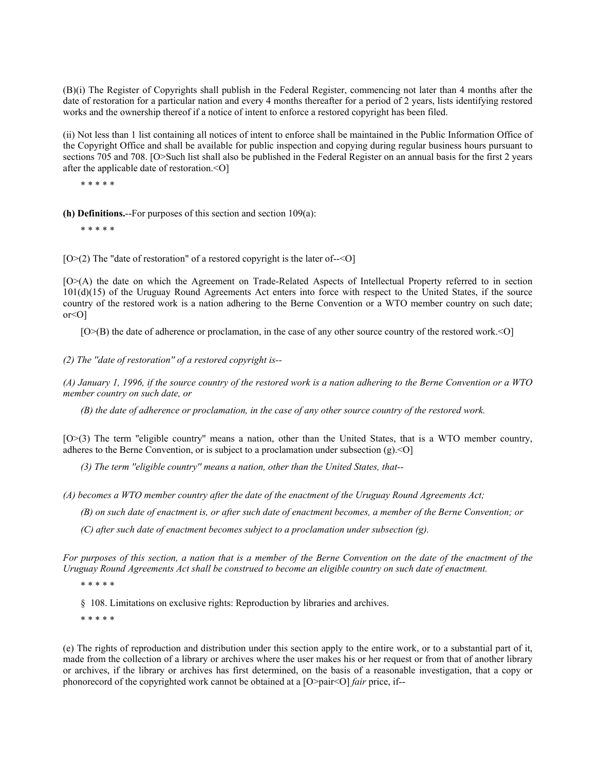(B)(i) The Register of Copyrights shall publish in the Federal Register, commencing not later than 4 months after the date of restoration for a particular nation and every 4 months thereafter for a period of 2 years, lists identifying restored works and the ownership thereof if a notice of intent to enforce a restored copyright has been filed.

(ii) Not less than 1 list containing all notices of intent to enforce shall be maintained in the Public Information Office of the Copyright Office and shall be available for public inspection and copying during regular business hours pursuant to sections 705 and 708. [O>Such list shall also be published in the Federal Register on an annual basis for the first 2 years after the applicable date of restoration.<O]

\* \* \* \* \*

**(h) Definitions.**--For purposes of this section and section 109(a):

\* \* \* \* \*

 $[O>(2)]$  The "date of restoration" of a restored copyright is the later of-- $\leq O$ ]

[O>(A) the date on which the Agreement on Trade-Related Aspects of Intellectual Property referred to in section 101(d)(15) of the Uruguay Round Agreements Act enters into force with respect to the United States, if the source country of the restored work is a nation adhering to the Berne Convention or a WTO member country on such date;  $or < O1$ 

[O>(B) the date of adherence or proclamation, in the case of any other source country of the restored work.<O]

*(2) The ''date of restoration'' of a restored copyright is--*

*(A) January 1, 1996, if the source country of the restored work is a nation adhering to the Berne Convention or a WTO member country on such date, or*

*(B) the date of adherence or proclamation, in the case of any other source country of the restored work.*

[O>(3) The term ''eligible country'' means a nation, other than the United States, that is a WTO member country, adheres to the Berne Convention, or is subject to a proclamation under subsection (g).<O]

*(3) The term ''eligible country'' means a nation, other than the United States, that--*

*(A) becomes a WTO member country after the date of the enactment of the Uruguay Round Agreements Act;*

*(B) on such date of enactment is, or after such date of enactment becomes, a member of the Berne Convention; or*

*(C) after such date of enactment becomes subject to a proclamation under subsection (g).*

*For purposes of this section, a nation that is a member of the Berne Convention on the date of the enactment of the Uruguay Round Agreements Act shall be construed to become an eligible country on such date of enactment.*

\* \* \* \* \*

§ 108. Limitations on exclusive rights: Reproduction by libraries and archives.

\* \* \* \* \*

(e) The rights of reproduction and distribution under this section apply to the entire work, or to a substantial part of it, made from the collection of a library or archives where the user makes his or her request or from that of another library or archives, if the library or archives has first determined, on the basis of a reasonable investigation, that a copy or phonorecord of the copyrighted work cannot be obtained at a [O>pair<O] *fair* price, if--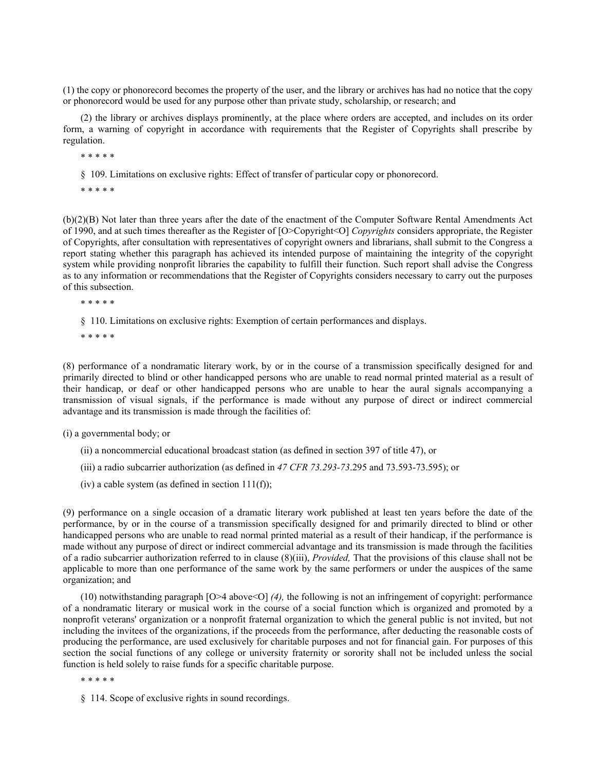(1) the copy or phonorecord becomes the property of the user, and the library or archives has had no notice that the copy or phonorecord would be used for any purpose other than private study, scholarship, or research; and

(2) the library or archives displays prominently, at the place where orders are accepted, and includes on its order form, a warning of copyright in accordance with requirements that the Register of Copyrights shall prescribe by regulation.

\* \* \* \* \*

§ 109. Limitations on exclusive rights: Effect of transfer of particular copy or phonorecord.

\* \* \* \* \*

(b)(2)(B) Not later than three years after the date of the enactment of the Computer Software Rental Amendments Act of 1990, and at such times thereafter as the Register of [O>Copyright<O] *Copyrights* considers appropriate, the Register of Copyrights, after consultation with representatives of copyright owners and librarians, shall submit to the Congress a report stating whether this paragraph has achieved its intended purpose of maintaining the integrity of the copyright system while providing nonprofit libraries the capability to fulfill their function. Such report shall advise the Congress as to any information or recommendations that the Register of Copyrights considers necessary to carry out the purposes of this subsection.

\* \* \* \* \*

§ 110. Limitations on exclusive rights: Exemption of certain performances and displays.

\* \* \* \* \*

(8) performance of a nondramatic literary work, by or in the course of a transmission specifically designed for and primarily directed to blind or other handicapped persons who are unable to read normal printed material as a result of their handicap, or deaf or other handicapped persons who are unable to hear the aural signals accompanying a transmission of visual signals, if the performance is made without any purpose of direct or indirect commercial advantage and its transmission is made through the facilities of:

(i) a governmental body; or

(ii) a noncommercial educational broadcast station (as defined in section 397 of title 47), or

(iii) a radio subcarrier authorization (as defined in *47 CFR 73.293-73*.295 and 73.593-73.595); or

(iv) a cable system (as defined in section  $111(f)$ );

(9) performance on a single occasion of a dramatic literary work published at least ten years before the date of the performance, by or in the course of a transmission specifically designed for and primarily directed to blind or other handicapped persons who are unable to read normal printed material as a result of their handicap, if the performance is made without any purpose of direct or indirect commercial advantage and its transmission is made through the facilities of a radio subcarrier authorization referred to in clause (8)(iii), *Provided,* That the provisions of this clause shall not be applicable to more than one performance of the same work by the same performers or under the auspices of the same organization; and

(10) notwithstanding paragraph [O>4 above<O] *(4),* the following is not an infringement of copyright: performance of a nondramatic literary or musical work in the course of a social function which is organized and promoted by a nonprofit veterans' organization or a nonprofit fraternal organization to which the general public is not invited, but not including the invitees of the organizations, if the proceeds from the performance, after deducting the reasonable costs of producing the performance, are used exclusively for charitable purposes and not for financial gain. For purposes of this section the social functions of any college or university fraternity or sorority shall not be included unless the social function is held solely to raise funds for a specific charitable purpose.

\* \* \* \* \*

§ 114. Scope of exclusive rights in sound recordings.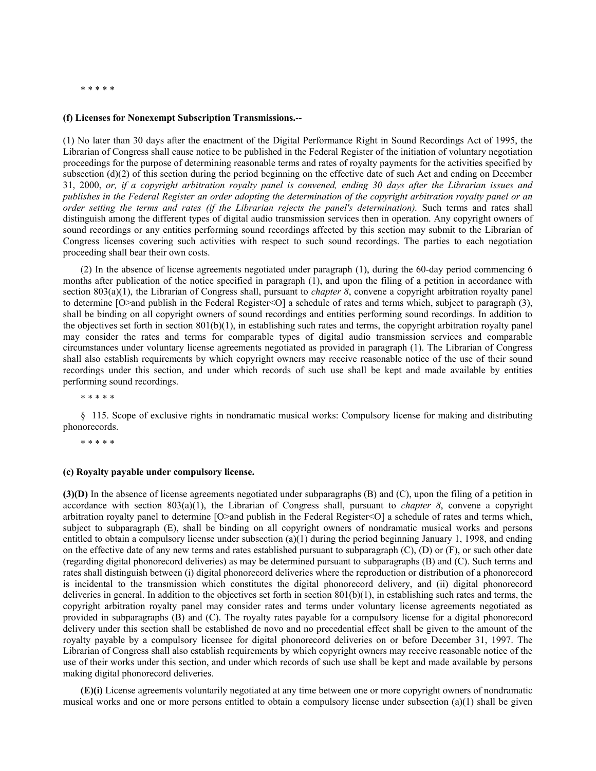#### \* \* \* \* \*

#### **(f) Licenses for Nonexempt Subscription Transmissions.**--

(1) No later than 30 days after the enactment of the Digital Performance Right in Sound Recordings Act of 1995, the Librarian of Congress shall cause notice to be published in the Federal Register of the initiation of voluntary negotiation proceedings for the purpose of determining reasonable terms and rates of royalty payments for the activities specified by subsection  $(d)(2)$  of this section during the period beginning on the effective date of such Act and ending on December 31, 2000, *or, if a copyright arbitration royalty panel is convened, ending 30 days after the Librarian issues and publishes in the Federal Register an order adopting the determination of the copyright arbitration royalty panel or an order setting the terms and rates (if the Librarian rejects the panel's determination).* Such terms and rates shall distinguish among the different types of digital audio transmission services then in operation. Any copyright owners of sound recordings or any entities performing sound recordings affected by this section may submit to the Librarian of Congress licenses covering such activities with respect to such sound recordings. The parties to each negotiation proceeding shall bear their own costs.

(2) In the absence of license agreements negotiated under paragraph (1), during the 60-day period commencing 6 months after publication of the notice specified in paragraph (1), and upon the filing of a petition in accordance with section 803(a)(1), the Librarian of Congress shall, pursuant to *chapter 8*, convene a copyright arbitration royalty panel to determine  $[O>$ and publish in the Federal Register<O] a schedule of rates and terms which, subject to paragraph (3), shall be binding on all copyright owners of sound recordings and entities performing sound recordings. In addition to the objectives set forth in section  $801(b)(1)$ , in establishing such rates and terms, the copyright arbitration royalty panel may consider the rates and terms for comparable types of digital audio transmission services and comparable circumstances under voluntary license agreements negotiated as provided in paragraph (1). The Librarian of Congress shall also establish requirements by which copyright owners may receive reasonable notice of the use of their sound recordings under this section, and under which records of such use shall be kept and made available by entities performing sound recordings.

\* \* \* \* \*

§ 115. Scope of exclusive rights in nondramatic musical works: Compulsory license for making and distributing phonorecords.

\* \* \* \* \*

### **(c) Royalty payable under compulsory license.**

**(3)(D)** In the absence of license agreements negotiated under subparagraphs (B) and (C), upon the filing of a petition in accordance with section  $803(a)(1)$ , the Librarian of Congress shall, pursuant to *chapter 8*, convene a copyright arbitration royalty panel to determine [O>and publish in the Federal Register<O] a schedule of rates and terms which, subject to subparagraph (E), shall be binding on all copyright owners of nondramatic musical works and persons entitled to obtain a compulsory license under subsection (a)(1) during the period beginning January 1, 1998, and ending on the effective date of any new terms and rates established pursuant to subparagraph  $(C)$ ,  $(D)$  or  $(F)$ , or such other date (regarding digital phonorecord deliveries) as may be determined pursuant to subparagraphs (B) and (C). Such terms and rates shall distinguish between (i) digital phonorecord deliveries where the reproduction or distribution of a phonorecord is incidental to the transmission which constitutes the digital phonorecord delivery, and (ii) digital phonorecord deliveries in general. In addition to the objectives set forth in section  $801(b)(1)$ , in establishing such rates and terms, the copyright arbitration royalty panel may consider rates and terms under voluntary license agreements negotiated as provided in subparagraphs (B) and (C). The royalty rates payable for a compulsory license for a digital phonorecord delivery under this section shall be established de novo and no precedential effect shall be given to the amount of the royalty payable by a compulsory licensee for digital phonorecord deliveries on or before December 31, 1997. The Librarian of Congress shall also establish requirements by which copyright owners may receive reasonable notice of the use of their works under this section, and under which records of such use shall be kept and made available by persons making digital phonorecord deliveries.

**(E)(i)** License agreements voluntarily negotiated at any time between one or more copyright owners of nondramatic musical works and one or more persons entitled to obtain a compulsory license under subsection (a)(1) shall be given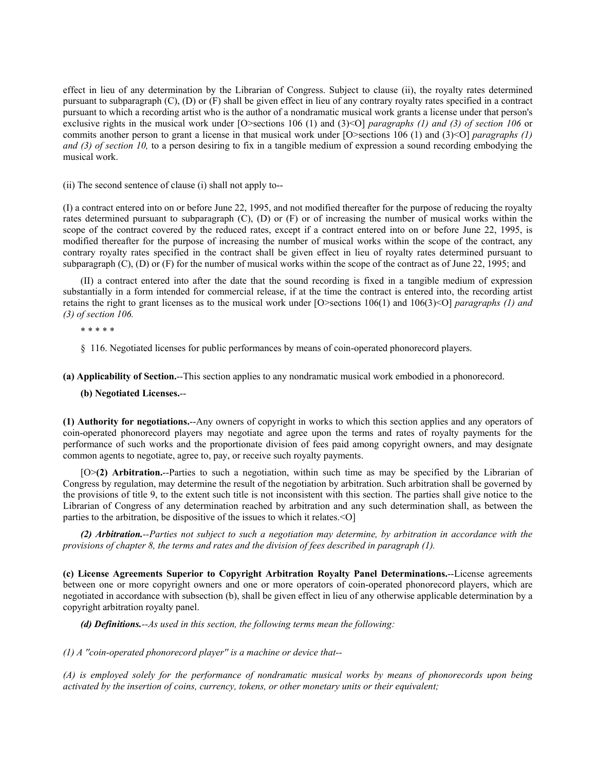effect in lieu of any determination by the Librarian of Congress. Subject to clause (ii), the royalty rates determined pursuant to subparagraph (C), (D) or (F) shall be given effect in lieu of any contrary royalty rates specified in a contract pursuant to which a recording artist who is the author of a nondramatic musical work grants a license under that person's exclusive rights in the musical work under [O>sections 106 (1) and (3)<O] *paragraphs (1) and (3) of section 106* or commits another person to grant a license in that musical work under [O>sections 106 (1) and (3)<O] *paragraphs (1) and (3) of section 10,* to a person desiring to fix in a tangible medium of expression a sound recording embodying the musical work.

(ii) The second sentence of clause (i) shall not apply to--

(I) a contract entered into on or before June 22, 1995, and not modified thereafter for the purpose of reducing the royalty rates determined pursuant to subparagraph (C), (D) or (F) or of increasing the number of musical works within the scope of the contract covered by the reduced rates, except if a contract entered into on or before June 22, 1995, is modified thereafter for the purpose of increasing the number of musical works within the scope of the contract, any contrary royalty rates specified in the contract shall be given effect in lieu of royalty rates determined pursuant to subparagraph (C), (D) or (F) for the number of musical works within the scope of the contract as of June 22, 1995; and

(II) a contract entered into after the date that the sound recording is fixed in a tangible medium of expression substantially in a form intended for commercial release, if at the time the contract is entered into, the recording artist retains the right to grant licenses as to the musical work under [O>sections 106(1) and 106(3)<O] *paragraphs (1) and (3) of section 106.*

\* \* \* \* \*

§ 116. Negotiated licenses for public performances by means of coin-operated phonorecord players.

**(a) Applicability of Section.**--This section applies to any nondramatic musical work embodied in a phonorecord.

**(b) Negotiated Licenses.**--

**(1) Authority for negotiations.**--Any owners of copyright in works to which this section applies and any operators of coin-operated phonorecord players may negotiate and agree upon the terms and rates of royalty payments for the performance of such works and the proportionate division of fees paid among copyright owners, and may designate common agents to negotiate, agree to, pay, or receive such royalty payments.

[O>**(2) Arbitration.**--Parties to such a negotiation, within such time as may be specified by the Librarian of Congress by regulation, may determine the result of the negotiation by arbitration. Such arbitration shall be governed by the provisions of title 9, to the extent such title is not inconsistent with this section. The parties shall give notice to the Librarian of Congress of any determination reached by arbitration and any such determination shall, as between the parties to the arbitration, be dispositive of the issues to which it relates.<O]

*(2) Arbitration.--Parties not subject to such a negotiation may determine, by arbitration in accordance with the provisions of chapter 8, the terms and rates and the division of fees described in paragraph (1).*

**(c) License Agreements Superior to Copyright Arbitration Royalty Panel Determinations.**--License agreements between one or more copyright owners and one or more operators of coin-operated phonorecord players, which are negotiated in accordance with subsection (b), shall be given effect in lieu of any otherwise applicable determination by a copyright arbitration royalty panel.

*(d) Definitions.--As used in this section, the following terms mean the following:*

*(1) A ''coin-operated phonorecord player'' is a machine or device that--*

*(A) is employed solely for the performance of nondramatic musical works by means of phonorecords upon being activated by the insertion of coins, currency, tokens, or other monetary units or their equivalent;*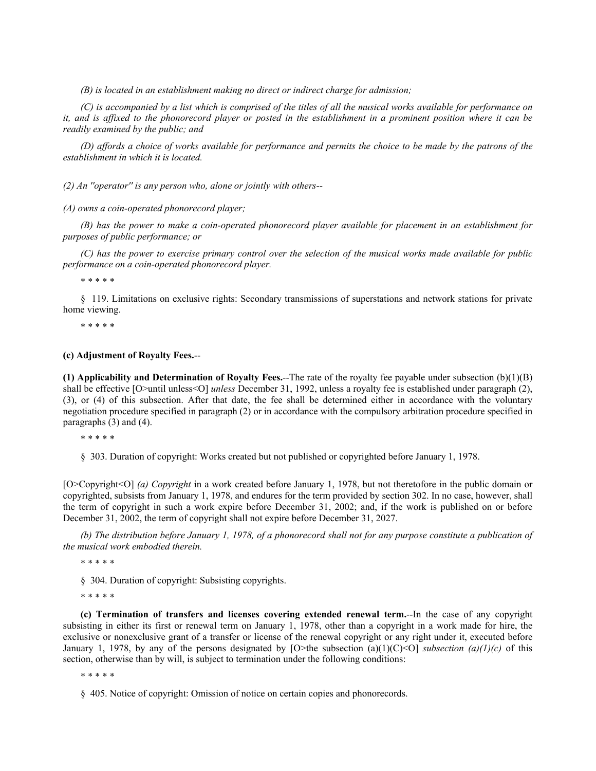*(B) is located in an establishment making no direct or indirect charge for admission;*

*(C) is accompanied by a list which is comprised of the titles of all the musical works available for performance on it, and is affixed to the phonorecord player or posted in the establishment in a prominent position where it can be readily examined by the public; and*

*(D) affords a choice of works available for performance and permits the choice to be made by the patrons of the establishment in which it is located.*

*(2) An ''operator'' is any person who, alone or jointly with others--*

*(A) owns a coin-operated phonorecord player;*

*(B) has the power to make a coin-operated phonorecord player available for placement in an establishment for purposes of public performance; or*

*(C) has the power to exercise primary control over the selection of the musical works made available for public performance on a coin-operated phonorecord player.*

\* \* \* \* \*

§ 119. Limitations on exclusive rights: Secondary transmissions of superstations and network stations for private home viewing.

\* \* \* \* \*

### **(c) Adjustment of Royalty Fees.**--

**(1) Applicability and Determination of Royalty Fees.**--The rate of the royalty fee payable under subsection (b)(1)(B) shall be effective [O>until unless<O] *unless* December 31, 1992, unless a royalty fee is established under paragraph (2), (3), or (4) of this subsection. After that date, the fee shall be determined either in accordance with the voluntary negotiation procedure specified in paragraph (2) or in accordance with the compulsory arbitration procedure specified in paragraphs (3) and (4).

\* \* \* \* \*

§ 303. Duration of copyright: Works created but not published or copyrighted before January 1, 1978.

[O>Copyright<O] *(a) Copyright* in a work created before January 1, 1978, but not theretofore in the public domain or copyrighted, subsists from January 1, 1978, and endures for the term provided by section 302. In no case, however, shall the term of copyright in such a work expire before December 31, 2002; and, if the work is published on or before December 31, 2002, the term of copyright shall not expire before December 31, 2027.

*(b) The distribution before January 1, 1978, of a phonorecord shall not for any purpose constitute a publication of the musical work embodied therein.*

\* \* \* \* \*

§ 304. Duration of copyright: Subsisting copyrights.

\* \* \* \* \*

**(c) Termination of transfers and licenses covering extended renewal term.**--In the case of any copyright subsisting in either its first or renewal term on January 1, 1978, other than a copyright in a work made for hire, the exclusive or nonexclusive grant of a transfer or license of the renewal copyright or any right under it, executed before January 1, 1978, by any of the persons designated by  $[O \gt the$  subsection (a)(1)(C)<O] *subsection (a)(1)(c)* of this section, otherwise than by will, is subject to termination under the following conditions:

\* \* \* \* \*

§ 405. Notice of copyright: Omission of notice on certain copies and phonorecords.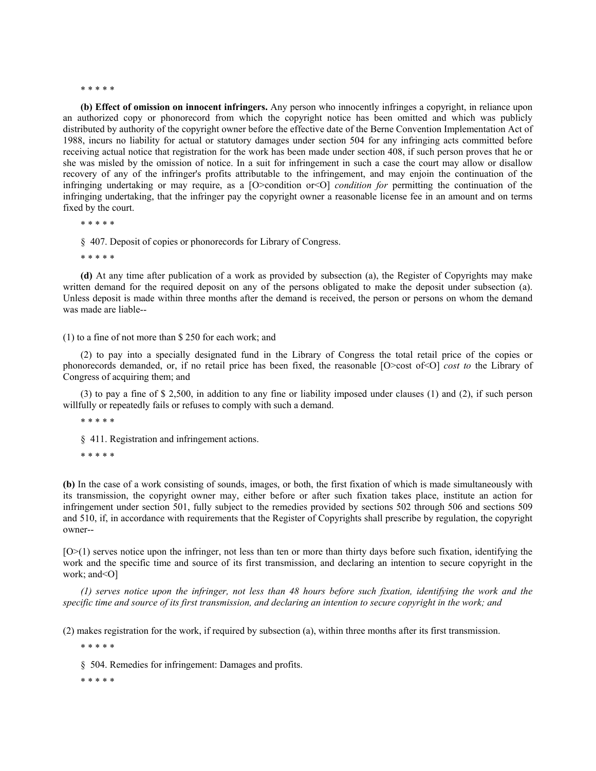#### \* \* \* \* \*

**(b) Effect of omission on innocent infringers.** Any person who innocently infringes a copyright, in reliance upon an authorized copy or phonorecord from which the copyright notice has been omitted and which was publicly distributed by authority of the copyright owner before the effective date of the Berne Convention Implementation Act of 1988, incurs no liability for actual or statutory damages under section 504 for any infringing acts committed before receiving actual notice that registration for the work has been made under section 408, if such person proves that he or she was misled by the omission of notice. In a suit for infringement in such a case the court may allow or disallow recovery of any of the infringer's profits attributable to the infringement, and may enjoin the continuation of the infringing undertaking or may require, as a [O>condition or<O] *condition for* permitting the continuation of the infringing undertaking, that the infringer pay the copyright owner a reasonable license fee in an amount and on terms fixed by the court.

\* \* \* \* \*

§ 407. Deposit of copies or phonorecords for Library of Congress.

\* \* \* \* \*

**(d)** At any time after publication of a work as provided by subsection (a), the Register of Copyrights may make written demand for the required deposit on any of the persons obligated to make the deposit under subsection (a). Unless deposit is made within three months after the demand is received, the person or persons on whom the demand was made are liable--

#### (1) to a fine of not more than \$ 250 for each work; and

(2) to pay into a specially designated fund in the Library of Congress the total retail price of the copies or phonorecords demanded, or, if no retail price has been fixed, the reasonable [O>cost of<O] *cost to* the Library of Congress of acquiring them; and

(3) to pay a fine of \$ 2,500, in addition to any fine or liability imposed under clauses (1) and (2), if such person willfully or repeatedly fails or refuses to comply with such a demand.

\* \* \* \* \*

§ 411. Registration and infringement actions.

\* \* \* \* \*

**(b)** In the case of a work consisting of sounds, images, or both, the first fixation of which is made simultaneously with its transmission, the copyright owner may, either before or after such fixation takes place, institute an action for infringement under section 501, fully subject to the remedies provided by sections 502 through 506 and sections 509 and 510, if, in accordance with requirements that the Register of Copyrights shall prescribe by regulation, the copyright owner--

[O>(1) serves notice upon the infringer, not less than ten or more than thirty days before such fixation, identifying the work and the specific time and source of its first transmission, and declaring an intention to secure copyright in the work; and<O]

*(1) serves notice upon the infringer, not less than 48 hours before such fixation, identifying the work and the specific time and source of its first transmission, and declaring an intention to secure copyright in the work; and*

(2) makes registration for the work, if required by subsection (a), within three months after its first transmission.

\* \* \* \* \*

§ 504. Remedies for infringement: Damages and profits.

\* \* \* \* \*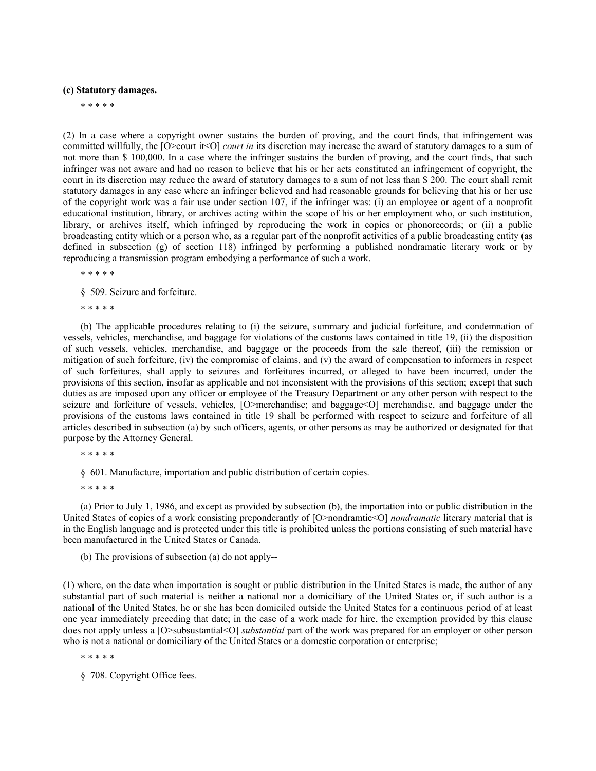## **(c) Statutory damages.**

\* \* \* \* \*

(2) In a case where a copyright owner sustains the burden of proving, and the court finds, that infringement was committed willfully, the [O>court it<O] *court in* its discretion may increase the award of statutory damages to a sum of not more than \$ 100,000. In a case where the infringer sustains the burden of proving, and the court finds, that such infringer was not aware and had no reason to believe that his or her acts constituted an infringement of copyright, the court in its discretion may reduce the award of statutory damages to a sum of not less than \$ 200. The court shall remit statutory damages in any case where an infringer believed and had reasonable grounds for believing that his or her use of the copyright work was a fair use under section 107, if the infringer was: (i) an employee or agent of a nonprofit educational institution, library, or archives acting within the scope of his or her employment who, or such institution, library, or archives itself, which infringed by reproducing the work in copies or phonorecords; or (ii) a public broadcasting entity which or a person who, as a regular part of the nonprofit activities of a public broadcasting entity (as defined in subsection (g) of section 118) infringed by performing a published nondramatic literary work or by reproducing a transmission program embodying a performance of such a work.

\* \* \* \* \*

§ 509. Seizure and forfeiture.

\* \* \* \* \*

(b) The applicable procedures relating to (i) the seizure, summary and judicial forfeiture, and condemnation of vessels, vehicles, merchandise, and baggage for violations of the customs laws contained in title 19, (ii) the disposition of such vessels, vehicles, merchandise, and baggage or the proceeds from the sale thereof, (iii) the remission or mitigation of such forfeiture, (iv) the compromise of claims, and (v) the award of compensation to informers in respect of such forfeitures, shall apply to seizures and forfeitures incurred, or alleged to have been incurred, under the provisions of this section, insofar as applicable and not inconsistent with the provisions of this section; except that such duties as are imposed upon any officer or employee of the Treasury Department or any other person with respect to the seizure and forfeiture of vessels, vehicles, [O>merchandise; and baggage<O] merchandise, and baggage under the provisions of the customs laws contained in title 19 shall be performed with respect to seizure and forfeiture of all articles described in subsection (a) by such officers, agents, or other persons as may be authorized or designated for that purpose by the Attorney General.

\* \* \* \* \*

§ 601. Manufacture, importation and public distribution of certain copies.

\* \* \* \* \*

(a) Prior to July 1, 1986, and except as provided by subsection (b), the importation into or public distribution in the United States of copies of a work consisting preponderantly of [O>nondramtic<O] *nondramatic* literary material that is in the English language and is protected under this title is prohibited unless the portions consisting of such material have been manufactured in the United States or Canada.

(b) The provisions of subsection (a) do not apply--

(1) where, on the date when importation is sought or public distribution in the United States is made, the author of any substantial part of such material is neither a national nor a domiciliary of the United States or, if such author is a national of the United States, he or she has been domiciled outside the United States for a continuous period of at least one year immediately preceding that date; in the case of a work made for hire, the exemption provided by this clause does not apply unless a [O>subsustantial<O] *substantial* part of the work was prepared for an employer or other person who is not a national or domiciliary of the United States or a domestic corporation or enterprise;

\* \* \* \* \*

§ 708. Copyright Office fees.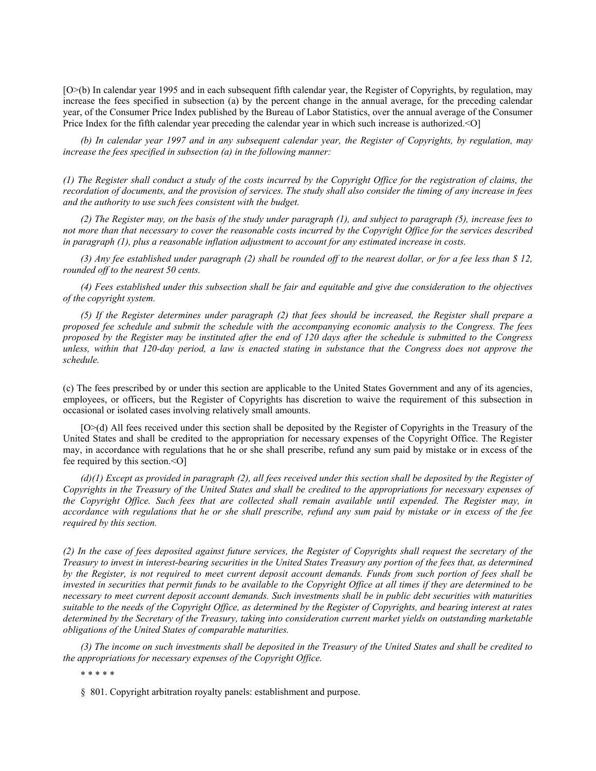[O>(b) In calendar year 1995 and in each subsequent fifth calendar year, the Register of Copyrights, by regulation, may increase the fees specified in subsection (a) by the percent change in the annual average, for the preceding calendar year, of the Consumer Price Index published by the Bureau of Labor Statistics, over the annual average of the Consumer Price Index for the fifth calendar year preceding the calendar year in which such increase is authorized.<O]

*(b) In calendar year 1997 and in any subsequent calendar year, the Register of Copyrights, by regulation, may increase the fees specified in subsection (a) in the following manner:*

*(1) The Register shall conduct a study of the costs incurred by the Copyright Office for the registration of claims, the recordation of documents, and the provision of services. The study shall also consider the timing of any increase in fees and the authority to use such fees consistent with the budget.*

*(2) The Register may, on the basis of the study under paragraph (1), and subject to paragraph (5), increase fees to not more than that necessary to cover the reasonable costs incurred by the Copyright Office for the services described in paragraph (1), plus a reasonable inflation adjustment to account for any estimated increase in costs.*

*(3) Any fee established under paragraph (2) shall be rounded off to the nearest dollar, or for a fee less than \$ 12, rounded off to the nearest 50 cents.*

*(4) Fees established under this subsection shall be fair and equitable and give due consideration to the objectives of the copyright system.*

*(5) If the Register determines under paragraph (2) that fees should be increased, the Register shall prepare a proposed fee schedule and submit the schedule with the accompanying economic analysis to the Congress. The fees proposed by the Register may be instituted after the end of 120 days after the schedule is submitted to the Congress unless, within that 120-day period, a law is enacted stating in substance that the Congress does not approve the schedule.*

(c) The fees prescribed by or under this section are applicable to the United States Government and any of its agencies, employees, or officers, but the Register of Copyrights has discretion to waive the requirement of this subsection in occasional or isolated cases involving relatively small amounts.

[O>(d) All fees received under this section shall be deposited by the Register of Copyrights in the Treasury of the United States and shall be credited to the appropriation for necessary expenses of the Copyright Office. The Register may, in accordance with regulations that he or she shall prescribe, refund any sum paid by mistake or in excess of the fee required by this section.<O]

*(d)(1) Except as provided in paragraph (2), all fees received under this section shall be deposited by the Register of Copyrights in the Treasury of the United States and shall be credited to the appropriations for necessary expenses of the Copyright Office. Such fees that are collected shall remain available until expended. The Register may, in accordance with regulations that he or she shall prescribe, refund any sum paid by mistake or in excess of the fee required by this section.*

*(2) In the case of fees deposited against future services, the Register of Copyrights shall request the secretary of the Treasury to invest in interest-bearing securities in the United States Treasury any portion of the fees that, as determined by the Register, is not required to meet current deposit account demands. Funds from such portion of fees shall be invested in securities that permit funds to be available to the Copyright Office at all times if they are determined to be necessary to meet current deposit account demands. Such investments shall be in public debt securities with maturities suitable to the needs of the Copyright Office, as determined by the Register of Copyrights, and bearing interest at rates determined by the Secretary of the Treasury, taking into consideration current market yields on outstanding marketable obligations of the United States of comparable maturities.*

*(3) The income on such investments shall be deposited in the Treasury of the United States and shall be credited to the appropriations for necessary expenses of the Copyright Office.*

\* \* \* \* \*

§ 801. Copyright arbitration royalty panels: establishment and purpose.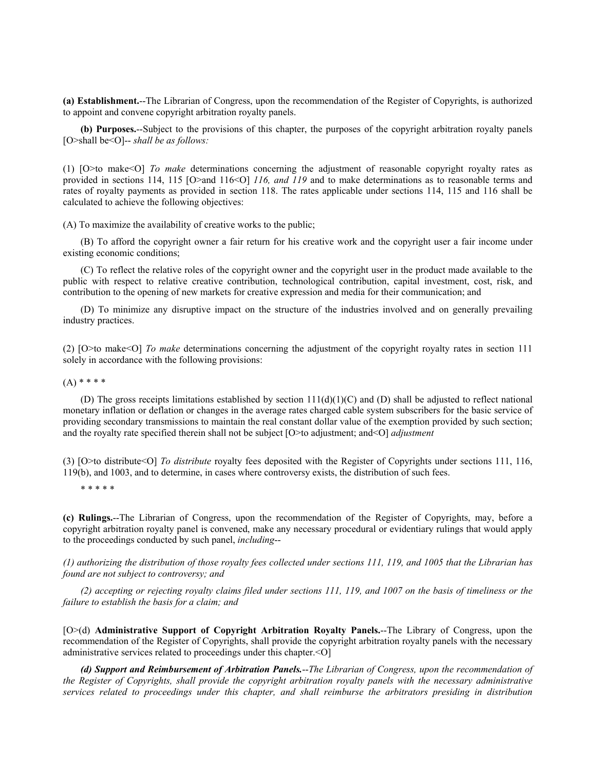**(a) Establishment.**--The Librarian of Congress, upon the recommendation of the Register of Copyrights, is authorized to appoint and convene copyright arbitration royalty panels.

**(b) Purposes.**--Subject to the provisions of this chapter, the purposes of the copyright arbitration royalty panels [O>shall be<O]-- *shall be as follows:* 

(1) [O>to make<O] *To make* determinations concerning the adjustment of reasonable copyright royalty rates as provided in sections 114, 115 [O>and 116<O] *116, and 119* and to make determinations as to reasonable terms and rates of royalty payments as provided in section 118. The rates applicable under sections 114, 115 and 116 shall be calculated to achieve the following objectives:

(A) To maximize the availability of creative works to the public;

(B) To afford the copyright owner a fair return for his creative work and the copyright user a fair income under existing economic conditions;

(C) To reflect the relative roles of the copyright owner and the copyright user in the product made available to the public with respect to relative creative contribution, technological contribution, capital investment, cost, risk, and contribution to the opening of new markets for creative expression and media for their communication; and

(D) To minimize any disruptive impact on the structure of the industries involved and on generally prevailing industry practices.

(2) [O>to make<O] *To make* determinations concerning the adjustment of the copyright royalty rates in section 111 solely in accordance with the following provisions:

 $(A)$  \* \* \* \*

(D) The gross receipts limitations established by section  $111(d)(1)(C)$  and (D) shall be adjusted to reflect national monetary inflation or deflation or changes in the average rates charged cable system subscribers for the basic service of providing secondary transmissions to maintain the real constant dollar value of the exemption provided by such section; and the royalty rate specified therein shall not be subject [O>to adjustment; and<O] *adjustment*

(3) [O>to distribute<O] *To distribute* royalty fees deposited with the Register of Copyrights under sections 111, 116, 119(b), and 1003, and to determine, in cases where controversy exists, the distribution of such fees.

\* \* \* \* \*

**(c) Rulings.**--The Librarian of Congress, upon the recommendation of the Register of Copyrights, may, before a copyright arbitration royalty panel is convened, make any necessary procedural or evidentiary rulings that would apply to the proceedings conducted by such panel, *including*--

*(1) authorizing the distribution of those royalty fees collected under sections 111, 119, and 1005 that the Librarian has found are not subject to controversy; and*

*(2) accepting or rejecting royalty claims filed under sections 111, 119, and 1007 on the basis of timeliness or the failure to establish the basis for a claim; and*

[O>(d) **Administrative Support of Copyright Arbitration Royalty Panels.**--The Library of Congress, upon the recommendation of the Register of Copyrights, shall provide the copyright arbitration royalty panels with the necessary administrative services related to proceedings under this chapter.<O]

*(d) Support and Reimbursement of Arbitration Panels.*--*The Librarian of Congress, upon the recommendation of the Register of Copyrights, shall provide the copyright arbitration royalty panels with the necessary administrative services related to proceedings under this chapter, and shall reimburse the arbitrators presiding in distribution*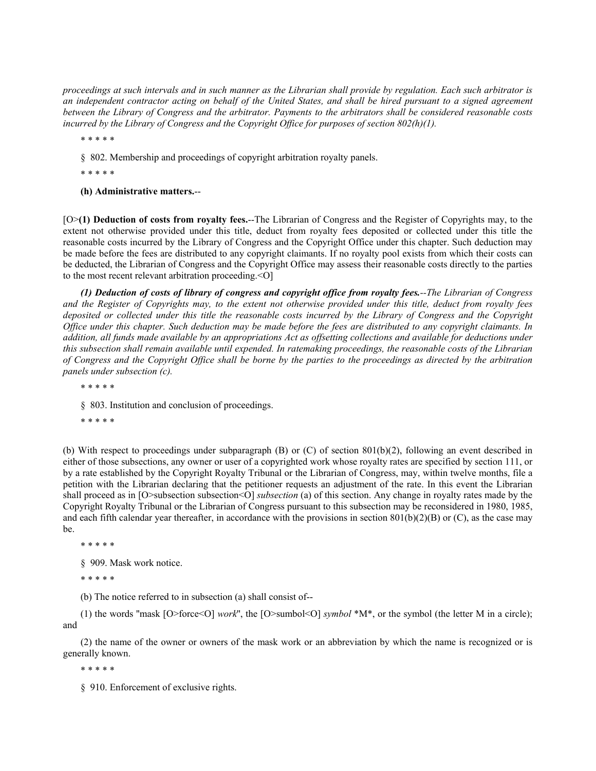*proceedings at such intervals and in such manner as the Librarian shall provide by regulation. Each such arbitrator is an independent contractor acting on behalf of the United States, and shall be hired pursuant to a signed agreement between the Library of Congress and the arbitrator. Payments to the arbitrators shall be considered reasonable costs incurred by the Library of Congress and the Copyright Office for purposes of section 802(h)(1).*

\* \* \* \* \*

§ 802. Membership and proceedings of copyright arbitration royalty panels.

\* \* \* \* \*

**(h) Administrative matters.**--

[O>**(1) Deduction of costs from royalty fees.**--The Librarian of Congress and the Register of Copyrights may, to the extent not otherwise provided under this title, deduct from royalty fees deposited or collected under this title the reasonable costs incurred by the Library of Congress and the Copyright Office under this chapter. Such deduction may be made before the fees are distributed to any copyright claimants. If no royalty pool exists from which their costs can be deducted, the Librarian of Congress and the Copyright Office may assess their reasonable costs directly to the parties to the most recent relevant arbitration proceeding.<0]

*(1) Deduction of costs of library of congress and copyright office from royalty fees.--The Librarian of Congress and the Register of Copyrights may, to the extent not otherwise provided under this title, deduct from royalty fees deposited or collected under this title the reasonable costs incurred by the Library of Congress and the Copyright Office under this chapter. Such deduction may be made before the fees are distributed to any copyright claimants. In addition, all funds made available by an appropriations Act as offsetting collections and available for deductions under this subsection shall remain available until expended. In ratemaking proceedings, the reasonable costs of the Librarian of Congress and the Copyright Office shall be borne by the parties to the proceedings as directed by the arbitration panels under subsection (c).*

\* \* \* \* \*

§ 803. Institution and conclusion of proceedings.

\* \* \* \* \*

(b) With respect to proceedings under subparagraph (B) or (C) of section 801(b)(2), following an event described in either of those subsections, any owner or user of a copyrighted work whose royalty rates are specified by section 111, or by a rate established by the Copyright Royalty Tribunal or the Librarian of Congress, may, within twelve months, file a petition with the Librarian declaring that the petitioner requests an adjustment of the rate. In this event the Librarian shall proceed as in [O>subsection subsection<O] *subsection* (a) of this section. Any change in royalty rates made by the Copyright Royalty Tribunal or the Librarian of Congress pursuant to this subsection may be reconsidered in 1980, 1985, and each fifth calendar year thereafter, in accordance with the provisions in section  $801(b)(2)(B)$  or (C), as the case may be.

\* \* \* \* \*

§ 909. Mask work notice.

\* \* \* \* \*

(b) The notice referred to in subsection (a) shall consist of--

(1) the words "mask  $[O > 6$  ( $O > 8$  *work*", the  $[O > 8 \times 10^{10}]$  *symbol*  $*M^*$ , or the symbol (the letter M in a circle); and

(2) the name of the owner or owners of the mask work or an abbreviation by which the name is recognized or is generally known.

\* \* \* \* \*

§ 910. Enforcement of exclusive rights.